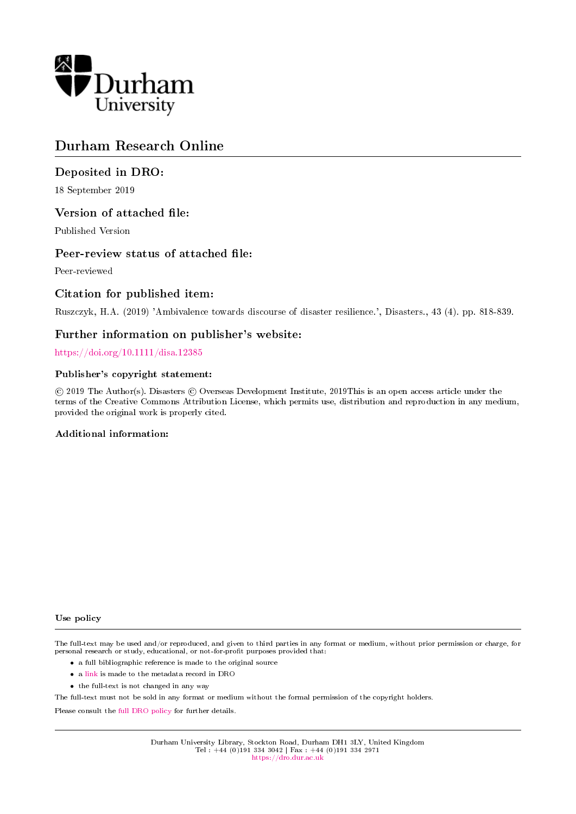

# Durham Research Online

# Deposited in DRO:

18 September 2019

### Version of attached file:

Published Version

### Peer-review status of attached file:

Peer-reviewed

### Citation for published item:

Ruszczyk, H.A. (2019) 'Ambivalence towards discourse of disaster resilience.', Disasters., 43 (4). pp. 818-839.

### Further information on publisher's website:

<https://doi.org/10.1111/disa.12385>

### Publisher's copyright statement:

 c 2019 The Author(s). Disasters c Overseas Development Institute, 2019This is an open access article under the terms of the Creative Commons Attribution License, which permits use, distribution and reproduction in any medium, provided the original work is properly cited.

### Additional information:

#### Use policy

The full-text may be used and/or reproduced, and given to third parties in any format or medium, without prior permission or charge, for personal research or study, educational, or not-for-profit purposes provided that:

- a full bibliographic reference is made to the original source
- a [link](http://dro.dur.ac.uk/26132/) is made to the metadata record in DRO
- the full-text is not changed in any way

The full-text must not be sold in any format or medium without the formal permission of the copyright holders.

Please consult the [full DRO policy](https://dro.dur.ac.uk/policies/usepolicy.pdf) for further details.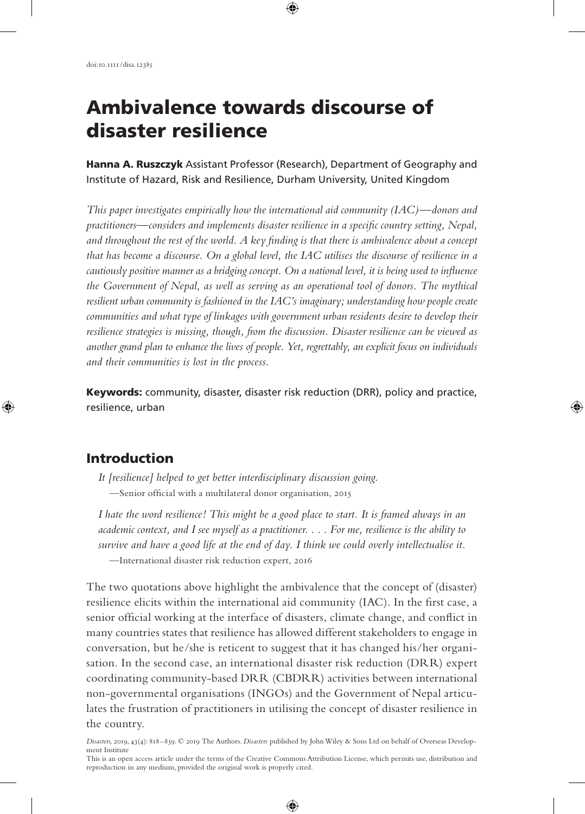# Ambivalence towards discourse of disaster resilience

Hanna A. Ruszczyk Assistant Professor (Research), Department of Geography and Institute of Hazard, Risk and Resilience, Durham University, United Kingdom

*This paper investigates empirically how the international aid community (IAC)—donors and practitioners—considers and implements disaster resilience in a specific country setting, Nepal, and throughout the rest of the world. A key finding is that there is ambivalence about a concept that has become a discourse. On a global level, the IAC utilises the discourse of resilience in a cautiously positive manner as a bridging concept. On a national level, it is being used to influence the Government of Nepal, as well as serving as an operational tool of donors. The mythical resilient urban community is fashioned in the IAC's imaginary; understanding how people create communities and what type of linkages with government urban residents desire to develop their resilience strategies is missing, though, from the discussion. Disaster resilience can be viewed as another grand plan to enhance the lives of people. Yet, regrettably, an explicit focus on individuals and their communities is lost in the process.* 

Keywords: community, disaster, disaster risk reduction (DRR), policy and practice, resilience, urban

# Introduction

*It [resilience] helped to get better interdisciplinary discussion going.*  —Senior official with a multilateral donor organisation, 2015

*I hate the word resilience! This might be a good place to start. It is framed always in an academic context, and I see myself as a practitioner. . . . For me, resilience is the ability to survive and have a good life at the end of day. I think we could overly intellectualise it.* —International disaster risk reduction expert, 2016

The two quotations above highlight the ambivalence that the concept of (disaster) resilience elicits within the international aid community (IAC). In the first case, a senior official working at the interface of disasters, climate change, and conflict in many countries states that resilience has allowed different stakeholders to engage in conversation, but he/she is reticent to suggest that it has changed his/her organisation. In the second case, an international disaster risk reduction (DRR) expert coordinating community-based DRR (CBDRR) activities between international non-governmental organisations (INGOs) and the Government of Nepal articulates the frustration of practitioners in utilising the concept of disaster resilience in the country.

*Disasters,* 2019, 43(4): 818−839. © 2019 The Authors. *Disasters* published by John Wiley & Sons Ltd on behalf of Overseas Development Institute

This is an open access article under the terms of the Creative Commons Attribution License, which permits use, distribution and reproduction in any medium, provided the original work is properly cited.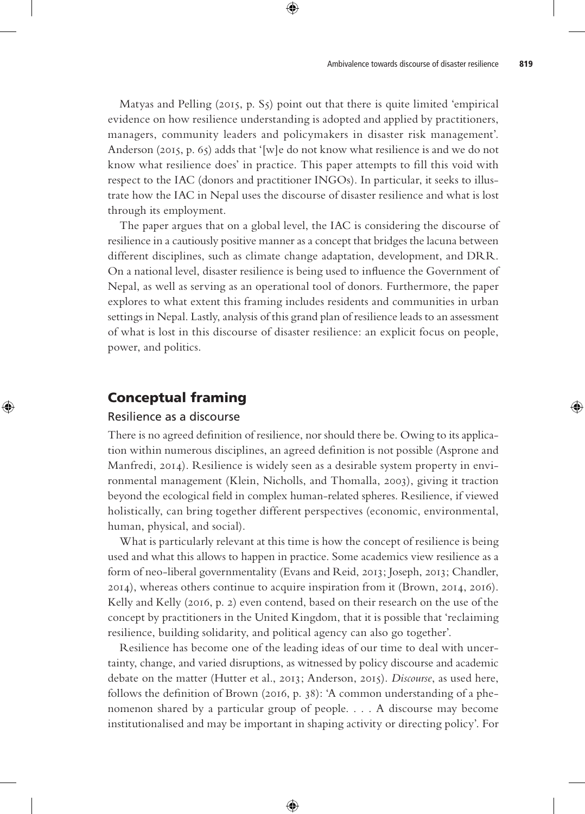Matyas and Pelling (2015, p. S5) point out that there is quite limited 'empirical evidence on how resilience understanding is adopted and applied by practitioners, managers, community leaders and policymakers in disaster risk management'. Anderson (2015, p. 65) adds that '[w]e do not know what resilience is and we do not know what resilience does' in practice. This paper attempts to fill this void with respect to the IAC (donors and practitioner INGOs). In particular, it seeks to illustrate how the IAC in Nepal uses the discourse of disaster resilience and what is lost through its employment.

The paper argues that on a global level, the IAC is considering the discourse of resilience in a cautiously positive manner as a concept that bridges the lacuna between different disciplines, such as climate change adaptation, development, and DRR. On a national level, disaster resilience is being used to influence the Government of Nepal, as well as serving as an operational tool of donors. Furthermore, the paper explores to what extent this framing includes residents and communities in urban settings in Nepal. Lastly, analysis of this grand plan of resilience leads to an assessment of what is lost in this discourse of disaster resilience: an explicit focus on people, power, and politics.

# Conceptual framing

### Resilience as a discourse

There is no agreed definition of resilience, nor should there be. Owing to its application within numerous disciplines, an agreed definition is not possible (Asprone and Manfredi, 2014). Resilience is widely seen as a desirable system property in environmental management (Klein, Nicholls, and Thomalla, 2003), giving it traction beyond the ecological field in complex human-related spheres. Resilience, if viewed holistically, can bring together different perspectives (economic, environmental, human, physical, and social).

What is particularly relevant at this time is how the concept of resilience is being used and what this allows to happen in practice. Some academics view resilience as a form of neo-liberal governmentality (Evans and Reid, 2013; Joseph, 2013; Chandler, 2014), whereas others continue to acquire inspiration from it (Brown, 2014, 2016). Kelly and Kelly (2016, p. 2) even contend, based on their research on the use of the concept by practitioners in the United Kingdom, that it is possible that 'reclaiming resilience, building solidarity, and political agency can also go together'.

Resilience has become one of the leading ideas of our time to deal with uncertainty, change, and varied disruptions, as witnessed by policy discourse and academic debate on the matter (Hutter et al., 2013; Anderson, 2015). *Discourse*, as used here, follows the definition of Brown (2016, p. 38): 'A common understanding of a phenomenon shared by a particular group of people. . . . A discourse may become institutionalised and may be important in shaping activity or directing policy'. For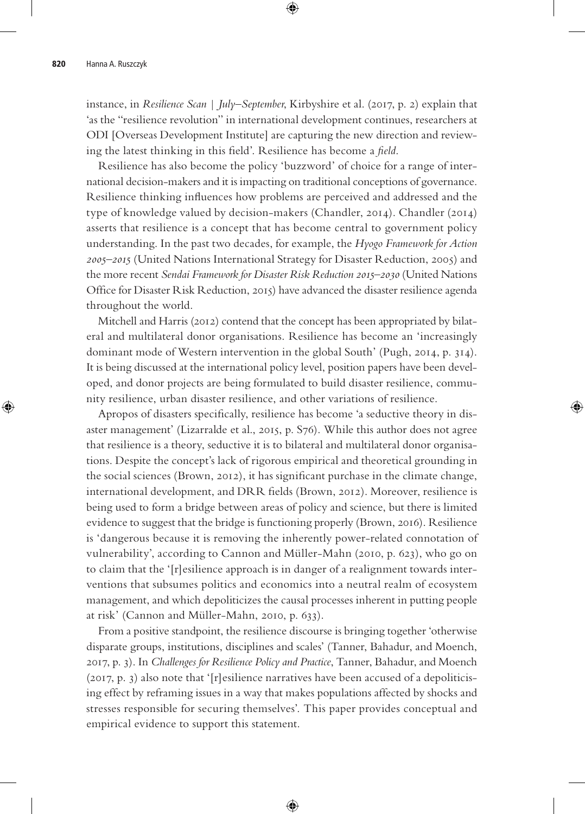instance, in *Resilience Scan* | *July–September*, Kirbyshire et al. (2017, p. 2) explain that 'as the "resilience revolution" in international development continues, researchers at ODI [Overseas Development Institute] are capturing the new direction and reviewing the latest thinking in this field'. Resilience has become a *field*.

Resilience has also become the policy 'buzzword' of choice for a range of international decision-makers and it is impacting on traditional conceptions of governance. Resilience thinking influences how problems are perceived and addressed and the type of knowledge valued by decision-makers (Chandler, 2014). Chandler (2014) asserts that resilience is a concept that has become central to government policy understanding. In the past two decades, for example, the *Hyogo Framework for Action 2005–2015* (United Nations International Strategy for Disaster Reduction, 2005) and the more recent *Sendai Framework for Disaster Risk Reduction 2015–2030* (United Nations Office for Disaster Risk Reduction, 2015) have advanced the disaster resilience agenda throughout the world.

Mitchell and Harris (2012) contend that the concept has been appropriated by bilateral and multilateral donor organisations. Resilience has become an 'increasingly dominant mode of Western intervention in the global South' (Pugh, 2014, p. 314). It is being discussed at the international policy level, position papers have been developed, and donor projects are being formulated to build disaster resilience, community resilience, urban disaster resilience, and other variations of resilience.

Apropos of disasters specifically, resilience has become 'a seductive theory in disaster management' (Lizarralde et al., 2015, p. S76). While this author does not agree that resilience is a theory, seductive it is to bilateral and multilateral donor organisations. Despite the concept's lack of rigorous empirical and theoretical grounding in the social sciences (Brown, 2012), it has significant purchase in the climate change, international development, and DRR fields (Brown, 2012). Moreover, resilience is being used to form a bridge between areas of policy and science, but there is limited evidence to suggest that the bridge is functioning properly (Brown, 2016). Resilience is 'dangerous because it is removing the inherently power-related connotation of vulnerability', according to Cannon and Müller-Mahn (2010, p. 623), who go on to claim that the '[r]esilience approach is in danger of a realignment towards interventions that subsumes politics and economics into a neutral realm of ecosystem management, and which depoliticizes the causal processes inherent in putting people at risk' (Cannon and Müller-Mahn, 2010, p. 633).

From a positive standpoint, the resilience discourse is bringing together 'otherwise disparate groups, institutions, disciplines and scales' (Tanner, Bahadur, and Moench, 2017, p. 3). In *Challenges for Resilience Policy and Practice*, Tanner, Bahadur, and Moench (2017, p. 3) also note that '[r]esilience narratives have been accused of a depoliticising effect by reframing issues in a way that makes populations affected by shocks and stresses responsible for securing themselves'. This paper provides conceptual and empirical evidence to support this statement.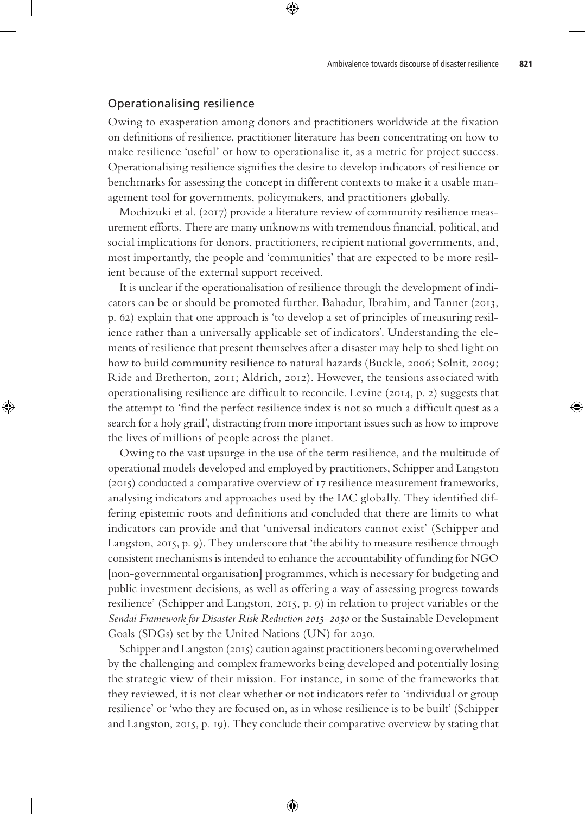### Operationalising resilience

Owing to exasperation among donors and practitioners worldwide at the fixation on definitions of resilience, practitioner literature has been concentrating on how to make resilience 'useful' or how to operationalise it, as a metric for project success. Operationalising resilience signifies the desire to develop indicators of resilience or benchmarks for assessing the concept in different contexts to make it a usable management tool for governments, policymakers, and practitioners globally.

Mochizuki et al. (2017) provide a literature review of community resilience measurement efforts. There are many unknowns with tremendous financial, political, and social implications for donors, practitioners, recipient national governments, and, most importantly, the people and 'communities' that are expected to be more resilient because of the external support received.

It is unclear if the operationalisation of resilience through the development of indicators can be or should be promoted further. Bahadur, Ibrahim, and Tanner (2013, p. 62) explain that one approach is 'to develop a set of principles of measuring resilience rather than a universally applicable set of indicators'. Understanding the elements of resilience that present themselves after a disaster may help to shed light on how to build community resilience to natural hazards (Buckle, 2006; Solnit, 2009; Ride and Bretherton, 2011; Aldrich, 2012). However, the tensions associated with operationalising resilience are difficult to reconcile. Levine (2014, p. 2) suggests that the attempt to 'find the perfect resilience index is not so much a difficult quest as a search for a holy grail', distracting from more important issues such as how to improve the lives of millions of people across the planet.

Owing to the vast upsurge in the use of the term resilience, and the multitude of operational models developed and employed by practitioners, Schipper and Langston (2015) conducted a comparative overview of 17 resilience measurement frameworks, analysing indicators and approaches used by the IAC globally. They identified differing epistemic roots and definitions and concluded that there are limits to what indicators can provide and that 'universal indicators cannot exist' (Schipper and Langston, 2015, p. 9). They underscore that 'the ability to measure resilience through consistent mechanisms is intended to enhance the accountability of funding for NGO [non-governmental organisation] programmes, which is necessary for budgeting and public investment decisions, as well as offering a way of assessing progress towards resilience' (Schipper and Langston, 2015, p. 9) in relation to project variables or the *Sendai Framework for Disaster Risk Reduction 2015–2030* or the Sustainable Development Goals (SDGs) set by the United Nations (UN) for 2030.

Schipper and Langston (2015) caution against practitioners becoming overwhelmed by the challenging and complex frameworks being developed and potentially losing the strategic view of their mission. For instance, in some of the frameworks that they reviewed, it is not clear whether or not indicators refer to 'individual or group resilience' or 'who they are focused on, as in whose resilience is to be built' (Schipper and Langston, 2015, p. 19). They conclude their comparative overview by stating that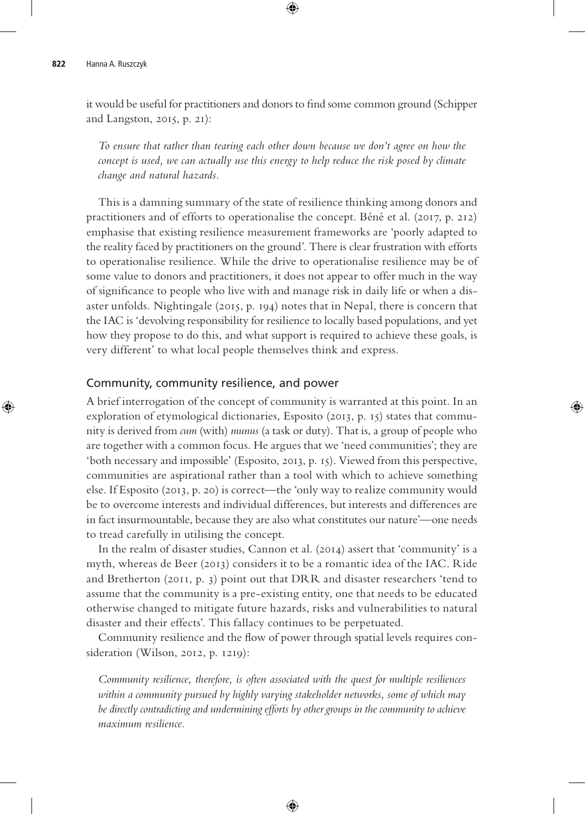it would be useful for practitioners and donors to find some common ground (Schipper and Langston, 2015, p. 21):

*To ensure that rather than tearing each other down because we don't agree on how the concept is used, we can actually use this energy to help reduce the risk posed by climate change and natural hazards.*

This is a damning summary of the state of resilience thinking among donors and practitioners and of efforts to operationalise the concept. Béné et al. (2017, p. 212) emphasise that existing resilience measurement frameworks are 'poorly adapted to the reality faced by practitioners on the ground'. There is clear frustration with efforts to operationalise resilience. While the drive to operationalise resilience may be of some value to donors and practitioners, it does not appear to offer much in the way of significance to people who live with and manage risk in daily life or when a disaster unfolds. Nightingale (2015, p. 194) notes that in Nepal, there is concern that the IAC is 'devolving responsibility for resilience to locally based populations, and yet how they propose to do this, and what support is required to achieve these goals, is very different' to what local people themselves think and express.

### Community, community resilience, and power

A brief interrogation of the concept of community is warranted at this point. In an exploration of etymological dictionaries, Esposito (2013, p. 15) states that community is derived from *cum* (with) *munus* (a task or duty). That is, a group of people who are together with a common focus. He argues that we 'need communities'; they are 'both necessary and impossible' (Esposito, 2013, p. 15). Viewed from this perspective, communities are aspirational rather than a tool with which to achieve something else. If Esposito (2013, p. 20) is correct—the 'only way to realize community would be to overcome interests and individual differences, but interests and differences are in fact insurmountable, because they are also what constitutes our nature'—one needs to tread carefully in utilising the concept.

In the realm of disaster studies, Cannon et al. (2014) assert that 'community' is a myth, whereas de Beer (2013) considers it to be a romantic idea of the IAC. Ride and Bretherton (2011, p. 3) point out that DRR and disaster researchers 'tend to assume that the community is a pre-existing entity, one that needs to be educated otherwise changed to mitigate future hazards, risks and vulnerabilities to natural disaster and their effects'. This fallacy continues to be perpetuated.

Community resilience and the flow of power through spatial levels requires consideration (Wilson, 2012, p. 1219):

*Community resilience, therefore, is often associated with the quest for multiple resiliences within a community pursued by highly varying stakeholder networks, some of which may be directly contradicting and undermining efforts by other groups in the community to achieve maximum resilience.*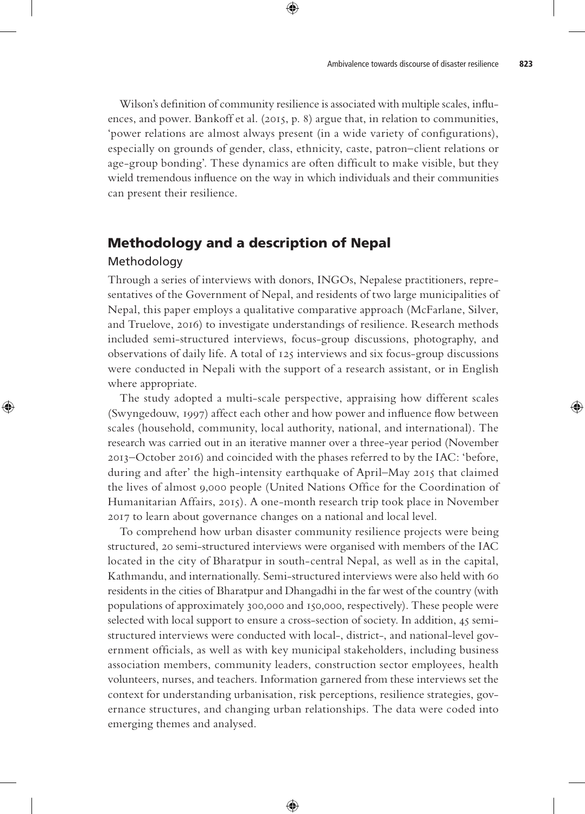Wilson's definition of community resilience is associated with multiple scales, influences, and power. Bankoff et al. (2015, p. 8) argue that, in relation to communities, 'power relations are almost always present (in a wide variety of configurations), especially on grounds of gender, class, ethnicity, caste, patron–client relations or age-group bonding'. These dynamics are often difficult to make visible, but they wield tremendous influence on the way in which individuals and their communities can present their resilience.

# Methodology and a description of Nepal

### Methodology

Through a series of interviews with donors, INGOs, Nepalese practitioners, representatives of the Government of Nepal, and residents of two large municipalities of Nepal, this paper employs a qualitative comparative approach (McFarlane, Silver, and Truelove, 2016) to investigate understandings of resilience. Research methods included semi-structured interviews, focus-group discussions, photography, and observations of daily life. A total of 125 interviews and six focus-group discussions were conducted in Nepali with the support of a research assistant, or in English where appropriate.

The study adopted a multi-scale perspective, appraising how different scales (Swyngedouw, 1997) affect each other and how power and influence flow between scales (household, community, local authority, national, and international). The research was carried out in an iterative manner over a three-year period (November 2013–October 2016) and coincided with the phases referred to by the IAC: 'before, during and after' the high-intensity earthquake of April–May 2015 that claimed the lives of almost 9,000 people (United Nations Office for the Coordination of Humanitarian Affairs, 2015). A one-month research trip took place in November 2017 to learn about governance changes on a national and local level.

To comprehend how urban disaster community resilience projects were being structured, 20 semi-structured interviews were organised with members of the IAC located in the city of Bharatpur in south-central Nepal, as well as in the capital, Kathmandu, and internationally. Semi-structured interviews were also held with 60 residents in the cities of Bharatpur and Dhangadhi in the far west of the country (with populations of approximately 300,000 and 150,000, respectively). These people were selected with local support to ensure a cross-section of society. In addition, 45 semistructured interviews were conducted with local-, district-, and national-level government officials, as well as with key municipal stakeholders, including business association members, community leaders, construction sector employees, health volunteers, nurses, and teachers. Information garnered from these interviews set the context for understanding urbanisation, risk perceptions, resilience strategies, governance structures, and changing urban relationships. The data were coded into emerging themes and analysed.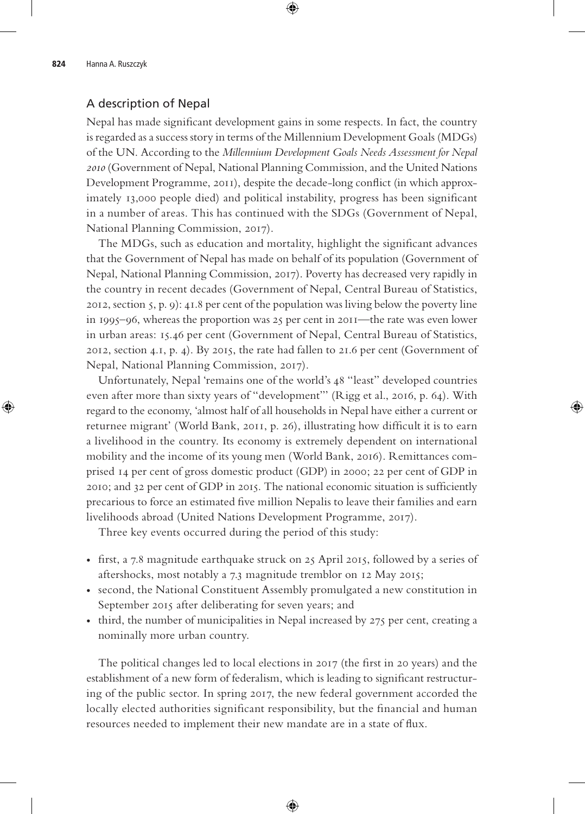### A description of Nepal

Nepal has made significant development gains in some respects. In fact, the country is regarded as a success story in terms of the Millennium Development Goals (MDGs) of the UN. According to the *Millennium Development Goals Needs Assessment for Nepal 2010* (Government of Nepal, National Planning Commission, and the United Nations Development Programme, 2011), despite the decade-long conflict (in which approximately 13,000 people died) and political instability, progress has been significant in a number of areas. This has continued with the SDGs (Government of Nepal, National Planning Commission, 2017).

The MDGs, such as education and mortality, highlight the significant advances that the Government of Nepal has made on behalf of its population (Government of Nepal, National Planning Commission, 2017). Poverty has decreased very rapidly in the country in recent decades (Government of Nepal, Central Bureau of Statistics, 2012, section 5, p. 9): 41.8 per cent of the population was living below the poverty line in 1995–96, whereas the proportion was 25 per cent in 2011—the rate was even lower in urban areas: 15.46 per cent (Government of Nepal, Central Bureau of Statistics, 2012, section 4.1, p. 4). By 2015, the rate had fallen to 21.6 per cent (Government of Nepal, National Planning Commission, 2017).

Unfortunately, Nepal 'remains one of the world's 48 "least" developed countries even after more than sixty years of "development"' (Rigg et al., 2016, p. 64). With regard to the economy, 'almost half of all households in Nepal have either a current or returnee migrant' (World Bank, 2011, p. 26), illustrating how difficult it is to earn a livelihood in the country. Its economy is extremely dependent on international mobility and the income of its young men (World Bank, 2016). Remittances comprised 14 per cent of gross domestic product (GDP) in 2000; 22 per cent of GDP in 2010; and 32 per cent of GDP in 2015. The national economic situation is sufficiently precarious to force an estimated five million Nepalis to leave their families and earn livelihoods abroad (United Nations Development Programme, 2017).

Three key events occurred during the period of this study:

- first, a 7.8 magnitude earthquake struck on 25 April 2015, followed by a series of aftershocks, most notably a 7.3 magnitude tremblor on 12 May 2015;
- second, the National Constituent Assembly promulgated a new constitution in September 2015 after deliberating for seven years; and
- third, the number of municipalities in Nepal increased by 275 per cent, creating a nominally more urban country.

The political changes led to local elections in 2017 (the first in 20 years) and the establishment of a new form of federalism, which is leading to significant restructuring of the public sector. In spring 2017, the new federal government accorded the locally elected authorities significant responsibility, but the financial and human resources needed to implement their new mandate are in a state of flux.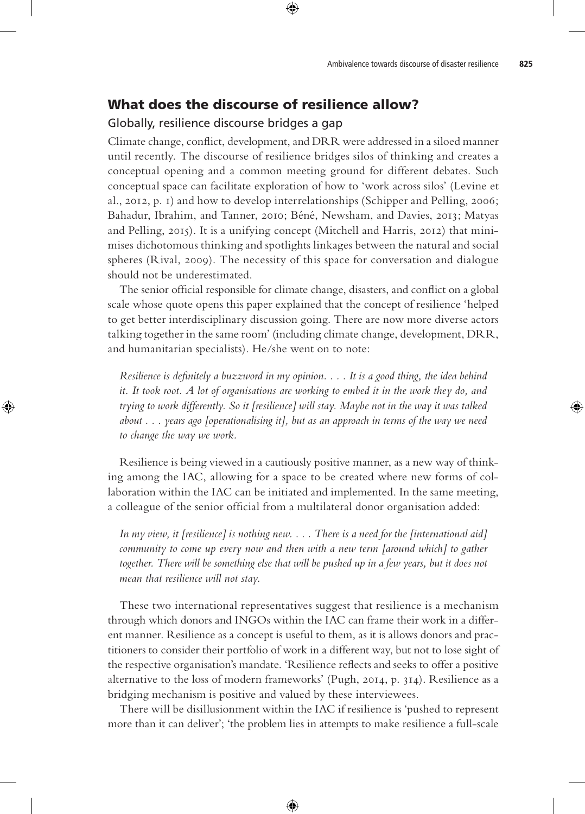# What does the discourse of resilience allow?

# Globally, resilience discourse bridges a gap

Climate change, conflict, development, and DRR were addressed in a siloed manner until recently. The discourse of resilience bridges silos of thinking and creates a conceptual opening and a common meeting ground for different debates. Such conceptual space can facilitate exploration of how to 'work across silos' (Levine et al., 2012, p. 1) and how to develop interrelationships (Schipper and Pelling, 2006; Bahadur, Ibrahim, and Tanner, 2010; Béné, Newsham, and Davies, 2013; Matyas and Pelling, 2015). It is a unifying concept (Mitchell and Harris, 2012) that minimises dichotomous thinking and spotlights linkages between the natural and social spheres (Rival, 2009). The necessity of this space for conversation and dialogue should not be underestimated.

The senior official responsible for climate change, disasters, and conflict on a global scale whose quote opens this paper explained that the concept of resilience 'helped to get better interdisciplinary discussion going. There are now more diverse actors talking together in the same room' (including climate change, development, DRR, and humanitarian specialists). He/she went on to note:

*Resilience is definitely a buzzword in my opinion. . . . It is a good thing, the idea behind it. It took root. A lot of organisations are working to embed it in the work they do, and trying to work differently. So it [resilience] will stay. Maybe not in the way it was talked about . . . years ago [operationalising it], but as an approach in terms of the way we need to change the way we work.*

Resilience is being viewed in a cautiously positive manner, as a new way of thinking among the IAC, allowing for a space to be created where new forms of collaboration within the IAC can be initiated and implemented. In the same meeting, a colleague of the senior official from a multilateral donor organisation added:

*In my view, it [resilience] is nothing new. . . . There is a need for the [international aid] community to come up every now and then with a new term [around which] to gather together. There will be something else that will be pushed up in a few years, but it does not mean that resilience will not stay.* 

These two international representatives suggest that resilience is a mechanism through which donors and INGOs within the IAC can frame their work in a different manner. Resilience as a concept is useful to them, as it is allows donors and practitioners to consider their portfolio of work in a different way, but not to lose sight of the respective organisation's mandate. 'Resilience reflects and seeks to offer a positive alternative to the loss of modern frameworks' (Pugh, 2014, p. 314). Resilience as a bridging mechanism is positive and valued by these interviewees.

There will be disillusionment within the IAC if resilience is 'pushed to represent more than it can deliver'; 'the problem lies in attempts to make resilience a full-scale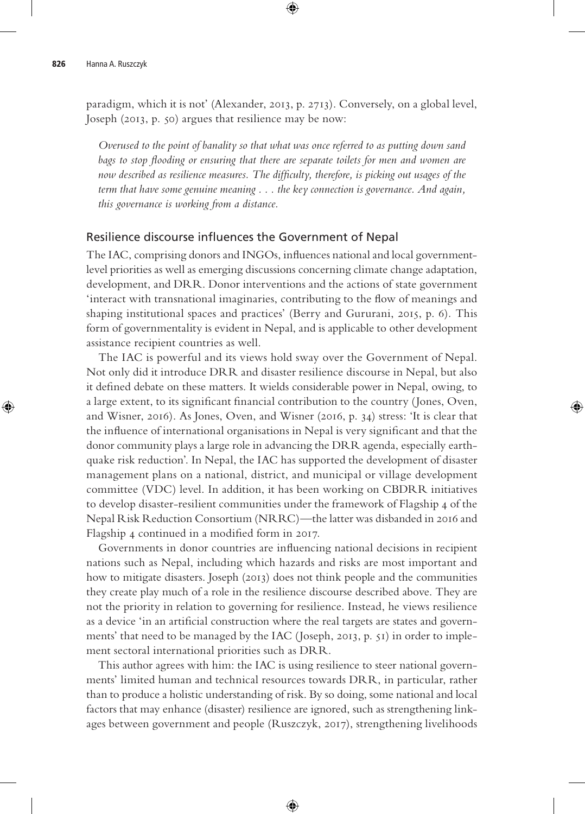paradigm, which it is not' (Alexander, 2013, p. 2713). Conversely, on a global level, Joseph (2013, p. 50) argues that resilience may be now:

*Overused to the point of banality so that what was once referred to as putting down sand bags to stop flooding or ensuring that there are separate toilets for men and women are now described as resilience measures. The difficulty, therefore, is picking out usages of the term that have some genuine meaning . . . the key connection is governance. And again, this governance is working from a distance.*

### Resilience discourse influences the Government of Nepal

The IAC, comprising donors and INGOs, influences national and local governmentlevel priorities as well as emerging discussions concerning climate change adaptation, development, and DRR. Donor interventions and the actions of state government 'interact with transnational imaginaries, contributing to the flow of meanings and shaping institutional spaces and practices' (Berry and Gururani, 2015, p. 6)*.* This form of governmentality is evident in Nepal, and is applicable to other development assistance recipient countries as well.

The IAC is powerful and its views hold sway over the Government of Nepal. Not only did it introduce DRR and disaster resilience discourse in Nepal, but also it defined debate on these matters. It wields considerable power in Nepal, owing, to a large extent, to its significant financial contribution to the country (Jones, Oven, and Wisner, 2016). As Jones, Oven, and Wisner (2016, p. 34) stress: 'It is clear that the influence of international organisations in Nepal is very significant and that the donor community plays a large role in advancing the DRR agenda, especially earthquake risk reduction'. In Nepal, the IAC has supported the development of disaster management plans on a national, district, and municipal or village development committee (VDC) level. In addition, it has been working on CBDRR initiatives to develop disaster-resilient communities under the framework of Flagship 4 of the Nepal Risk Reduction Consortium (NRRC)—the latter was disbanded in 2016 and Flagship 4 continued in a modified form in 2017.

Governments in donor countries are influencing national decisions in recipient nations such as Nepal, including which hazards and risks are most important and how to mitigate disasters. Joseph (2013) does not think people and the communities they create play much of a role in the resilience discourse described above. They are not the priority in relation to governing for resilience. Instead, he views resilience as a device 'in an artificial construction where the real targets are states and governments' that need to be managed by the IAC (Joseph, 2013, p. 51) in order to implement sectoral international priorities such as DRR.

This author agrees with him: the IAC is using resilience to steer national governments' limited human and technical resources towards DRR, in particular, rather than to produce a holistic understanding of risk. By so doing, some national and local factors that may enhance (disaster) resilience are ignored, such as strengthening linkages between government and people (Ruszczyk, 2017), strengthening livelihoods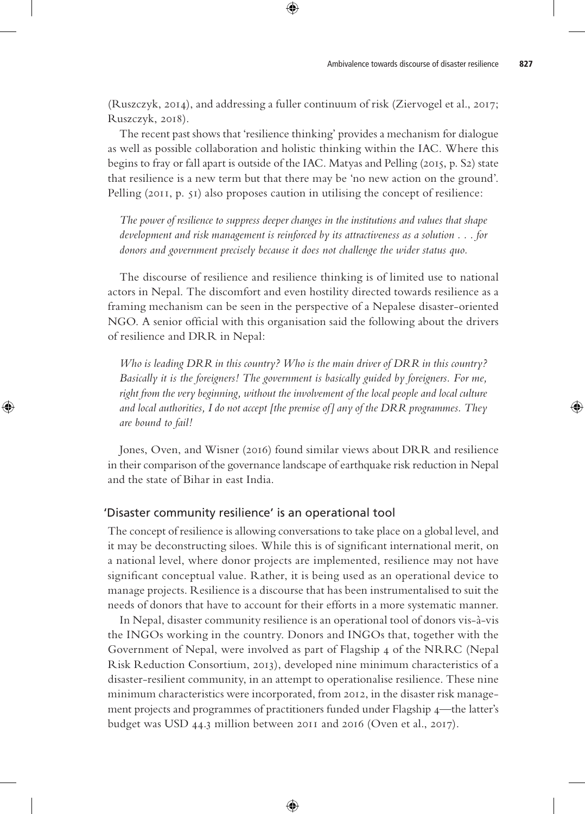(Ruszczyk, 2014), and addressing a fuller continuum of risk (Ziervogel et al., 2017; Ruszczyk, 2018).

The recent past shows that 'resilience thinking' provides a mechanism for dialogue as well as possible collaboration and holistic thinking within the IAC. Where this begins to fray or fall apart is outside of the IAC. Matyas and Pelling (2015, p. S2) state that resilience is a new term but that there may be 'no new action on the ground'. Pelling (2011, p. 51) also proposes caution in utilising the concept of resilience:

*The power of resilience to suppress deeper changes in the institutions and values that shape development and risk management is reinforced by its attractiveness as a solution . . . for donors and government precisely because it does not challenge the wider status quo.* 

The discourse of resilience and resilience thinking is of limited use to national actors in Nepal. The discomfort and even hostility directed towards resilience as a framing mechanism can be seen in the perspective of a Nepalese disaster-oriented NGO. A senior official with this organisation said the following about the drivers of resilience and DRR in Nepal:

*Who is leading DRR in this country? Who is the main driver of DRR in this country? Basically it is the foreigners! The government is basically guided by foreigners. For me, right from the very beginning, without the involvement of the local people and local culture and local authorities, I do not accept [the premise of] any of the DRR programmes. They are bound to fail!*

Jones, Oven, and Wisner (2016) found similar views about DRR and resilience in their comparison of the governance landscape of earthquake risk reduction in Nepal and the state of Bihar in east India.

### 'Disaster community resilience' is an operational tool

The concept of resilience is allowing conversations to take place on a global level, and it may be deconstructing siloes. While this is of significant international merit, on a national level, where donor projects are implemented, resilience may not have significant conceptual value. Rather, it is being used as an operational device to manage projects. Resilience is a discourse that has been instrumentalised to suit the needs of donors that have to account for their efforts in a more systematic manner.

In Nepal, disaster community resilience is an operational tool of donors vis-à-vis the INGOs working in the country. Donors and INGOs that, together with the Government of Nepal, were involved as part of Flagship 4 of the NRRC (Nepal Risk Reduction Consortium, 2013), developed nine minimum characteristics of a disaster-resilient community, in an attempt to operationalise resilience. These nine minimum characteristics were incorporated, from 2012, in the disaster risk management projects and programmes of practitioners funded under Flagship 4—the latter's budget was USD 44.3 million between 2011 and 2016 (Oven et al., 2017).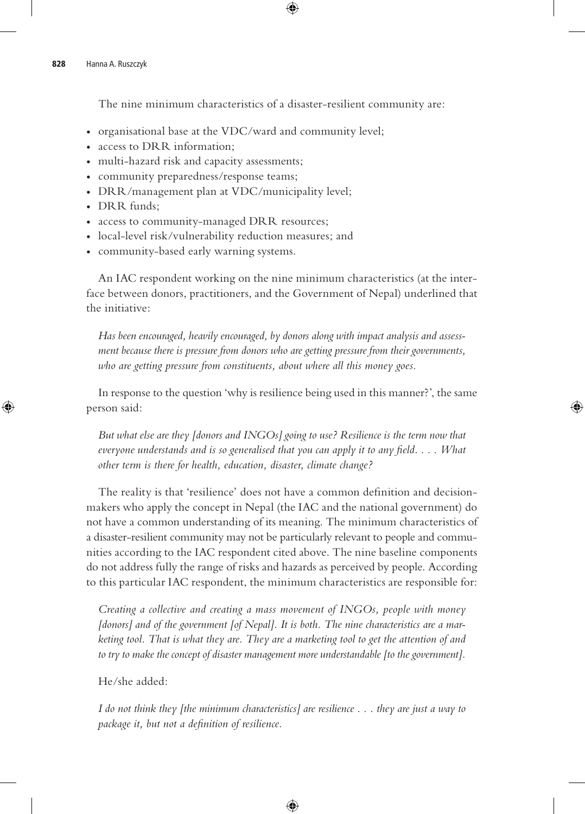The nine minimum characteristics of a disaster-resilient community are:

- organisational base at the VDC/ward and community level;
- access to DRR information;
- multi-hazard risk and capacity assessments;
- community preparedness/response teams;
- DRR/management plan at VDC/municipality level;
- DRR funds:
- access to community-managed DRR resources;
- local-level risk/vulnerability reduction measures; and
- community-based early warning systems.

An IAC respondent working on the nine minimum characteristics (at the interface between donors, practitioners, and the Government of Nepal) underlined that the initiative:

*Has been encouraged, heavily encouraged, by donors along with impact analysis and assessment because there is pressure from donors who are getting pressure from their governments, who are getting pressure from constituents, about where all this money goes.* 

In response to the question 'why is resilience being used in this manner?', the same person said:

*But what else are they [donors and INGOs] going to use? Resilience is the term now that everyone understands and is so generalised that you can apply it to any field. . . . What other term is there for health, education, disaster, climate change?* 

The reality is that 'resilience' does not have a common definition and decisionmakers who apply the concept in Nepal (the IAC and the national government) do not have a common understanding of its meaning. The minimum characteristics of a disaster-resilient community may not be particularly relevant to people and communities according to the IAC respondent cited above. The nine baseline components do not address fully the range of risks and hazards as perceived by people. According to this particular IAC respondent, the minimum characteristics are responsible for:

*Creating a collective and creating a mass movement of INGOs, people with money [donors] and of the government [of Nepal]. It is both. The nine characteristics are a marketing tool. That is what they are. They are a marketing tool to get the attention of and to try to make the concept of disaster management more understandable [to the government].*

### He/she added:

*I do not think they [the minimum characteristics] are resilience . . . they are just a way to package it, but not a definition of resilience.*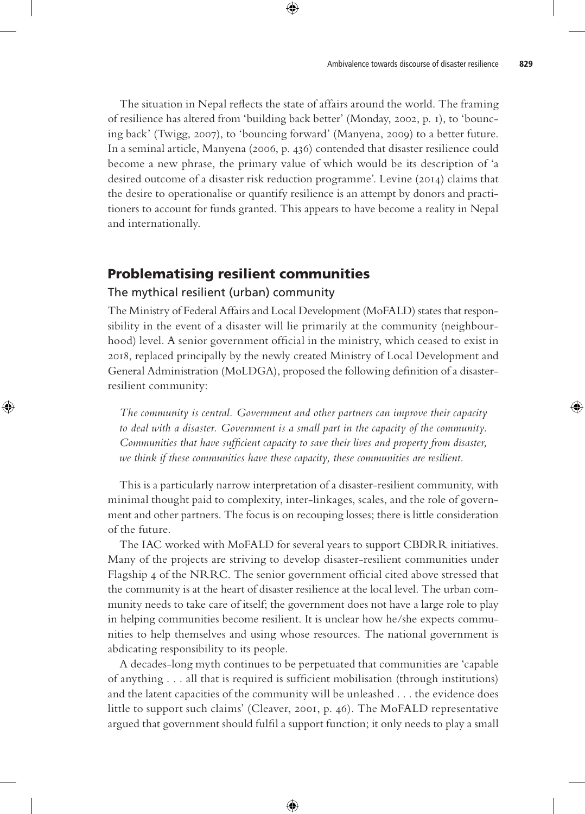The situation in Nepal reflects the state of affairs around the world. The framing of resilience has altered from 'building back better' (Monday, 2002, p. 1), to 'bouncing back' (Twigg, 2007), to 'bouncing forward' (Manyena, 2009) to a better future. In a seminal article, Manyena (2006, p. 436) contended that disaster resilience could become a new phrase, the primary value of which would be its description of 'a desired outcome of a disaster risk reduction programme'. Levine (2014) claims that the desire to operationalise or quantify resilience is an attempt by donors and practitioners to account for funds granted. This appears to have become a reality in Nepal and internationally.

# Problematising resilient communities

### The mythical resilient (urban) community

The Ministry of Federal Affairs and Local Development (MoFALD) states that responsibility in the event of a disaster will lie primarily at the community (neighbourhood) level. A senior government official in the ministry, which ceased to exist in 2018, replaced principally by the newly created Ministry of Local Development and General Administration (MoLDGA), proposed the following definition of a disasterresilient community:

*The community is central. Government and other partners can improve their capacity to deal with a disaster. Government is a small part in the capacity of the community. Communities that have sufficient capacity to save their lives and property from disaster, we think if these communities have these capacity, these communities are resilient.*

This is a particularly narrow interpretation of a disaster-resilient community, with minimal thought paid to complexity, inter-linkages, scales, and the role of government and other partners. The focus is on recouping losses; there is little consideration of the future.

The IAC worked with MoFALD for several years to support CBDRR initiatives. Many of the projects are striving to develop disaster-resilient communities under Flagship 4 of the NRRC. The senior government official cited above stressed that the community is at the heart of disaster resilience at the local level. The urban community needs to take care of itself; the government does not have a large role to play in helping communities become resilient. It is unclear how he/she expects communities to help themselves and using whose resources. The national government is abdicating responsibility to its people.

A decades-long myth continues to be perpetuated that communities are 'capable of anything . . . all that is required is sufficient mobilisation (through institutions) and the latent capacities of the community will be unleashed . . . the evidence does little to support such claims' (Cleaver, 2001, p. 46). The MoFALD representative argued that government should fulfil a support function; it only needs to play a small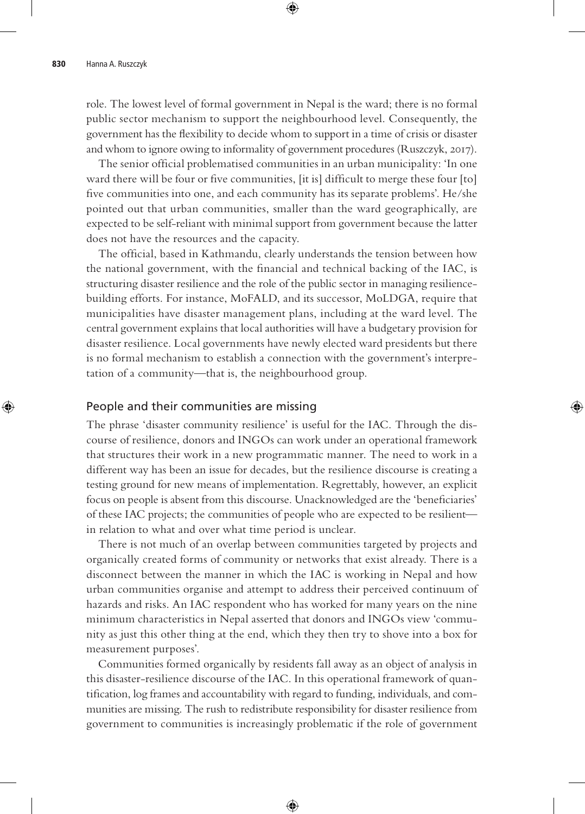role. The lowest level of formal government in Nepal is the ward; there is no formal public sector mechanism to support the neighbourhood level. Consequently, the government has the flexibility to decide whom to support in a time of crisis or disaster and whom to ignore owing to informality of government procedures (Ruszczyk, 2017).

The senior official problematised communities in an urban municipality: 'In one ward there will be four or five communities, [it is] difficult to merge these four [to] five communities into one, and each community has its separate problems'. He/she pointed out that urban communities, smaller than the ward geographically, are expected to be self-reliant with minimal support from government because the latter does not have the resources and the capacity.

The official, based in Kathmandu, clearly understands the tension between how the national government, with the financial and technical backing of the IAC, is structuring disaster resilience and the role of the public sector in managing resiliencebuilding efforts. For instance, MoFALD, and its successor, MoLDGA, require that municipalities have disaster management plans, including at the ward level. The central government explains that local authorities will have a budgetary provision for disaster resilience. Local governments have newly elected ward presidents but there is no formal mechanism to establish a connection with the government's interpretation of a community—that is, the neighbourhood group.

#### People and their communities are missing

The phrase 'disaster community resilience' is useful for the IAC. Through the discourse of resilience, donors and INGOs can work under an operational framework that structures their work in a new programmatic manner. The need to work in a different way has been an issue for decades, but the resilience discourse is creating a testing ground for new means of implementation. Regrettably, however, an explicit focus on people is absent from this discourse. Unacknowledged are the 'beneficiaries' of these IAC projects; the communities of people who are expected to be resilient in relation to what and over what time period is unclear.

There is not much of an overlap between communities targeted by projects and organically created forms of community or networks that exist already. There is a disconnect between the manner in which the IAC is working in Nepal and how urban communities organise and attempt to address their perceived continuum of hazards and risks. An IAC respondent who has worked for many years on the nine minimum characteristics in Nepal asserted that donors and INGOs view 'community as just this other thing at the end, which they then try to shove into a box for measurement purposes'.

Communities formed organically by residents fall away as an object of analysis in this disaster-resilience discourse of the IAC. In this operational framework of quantification, log frames and accountability with regard to funding, individuals, and communities are missing. The rush to redistribute responsibility for disaster resilience from government to communities is increasingly problematic if the role of government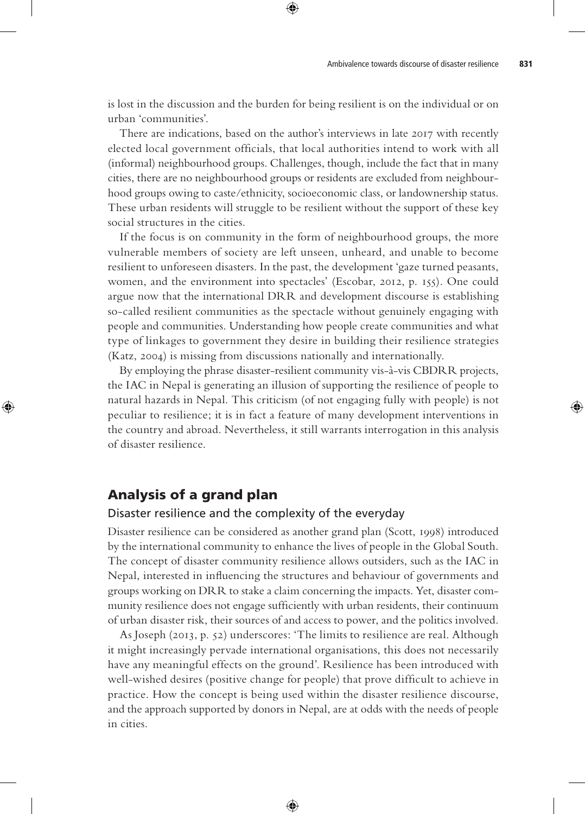is lost in the discussion and the burden for being resilient is on the individual or on urban 'communities'.

There are indications, based on the author's interviews in late 2017 with recently elected local government officials, that local authorities intend to work with all (informal) neighbourhood groups. Challenges, though, include the fact that in many cities, there are no neighbourhood groups or residents are excluded from neighbourhood groups owing to caste/ethnicity, socioeconomic class, or landownership status. These urban residents will struggle to be resilient without the support of these key social structures in the cities.

If the focus is on community in the form of neighbourhood groups, the more vulnerable members of society are left unseen, unheard, and unable to become resilient to unforeseen disasters. In the past, the development 'gaze turned peasants, women, and the environment into spectacles' (Escobar, 2012, p. 155). One could argue now that the international DRR and development discourse is establishing so-called resilient communities as the spectacle without genuinely engaging with people and communities. Understanding how people create communities and what type of linkages to government they desire in building their resilience strategies (Katz, 2004) is missing from discussions nationally and internationally.

By employing the phrase disaster-resilient community vis-à-vis CBDRR projects, the IAC in Nepal is generating an illusion of supporting the resilience of people to natural hazards in Nepal. This criticism (of not engaging fully with people) is not peculiar to resilience; it is in fact a feature of many development interventions in the country and abroad. Nevertheless, it still warrants interrogation in this analysis of disaster resilience.

# Analysis of a grand plan

### Disaster resilience and the complexity of the everyday

Disaster resilience can be considered as another grand plan (Scott, 1998) introduced by the international community to enhance the lives of people in the Global South. The concept of disaster community resilience allows outsiders, such as the IAC in Nepal, interested in influencing the structures and behaviour of governments and groups working on DRR to stake a claim concerning the impacts. Yet, disaster community resilience does not engage sufficiently with urban residents, their continuum of urban disaster risk, their sources of and access to power, and the politics involved.

As Joseph (2013, p. 52) underscores: 'The limits to resilience are real. Although it might increasingly pervade international organisations, this does not necessarily have any meaningful effects on the ground'. Resilience has been introduced with well-wished desires (positive change for people) that prove difficult to achieve in practice. How the concept is being used within the disaster resilience discourse, and the approach supported by donors in Nepal, are at odds with the needs of people in cities.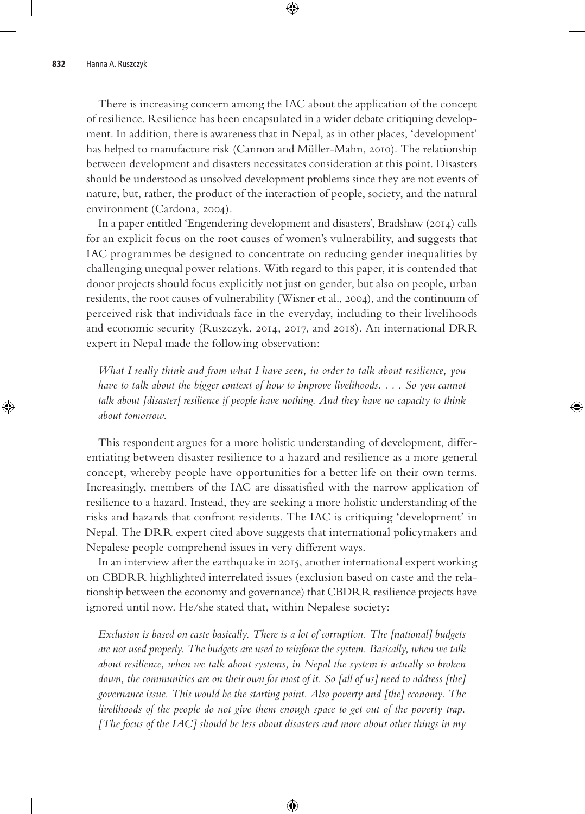There is increasing concern among the IAC about the application of the concept of resilience. Resilience has been encapsulated in a wider debate critiquing development. In addition, there is awareness that in Nepal, as in other places, 'development' has helped to manufacture risk (Cannon and Müller-Mahn, 2010). The relationship between development and disasters necessitates consideration at this point. Disasters should be understood as unsolved development problems since they are not events of nature, but, rather, the product of the interaction of people, society, and the natural environment (Cardona, 2004).

In a paper entitled 'Engendering development and disasters', Bradshaw (2014) calls for an explicit focus on the root causes of women's vulnerability, and suggests that IAC programmes be designed to concentrate on reducing gender inequalities by challenging unequal power relations. With regard to this paper, it is contended that donor projects should focus explicitly not just on gender, but also on people, urban residents, the root causes of vulnerability (Wisner et al., 2004), and the continuum of perceived risk that individuals face in the everyday, including to their livelihoods and economic security (Ruszczyk, 2014, 2017, and 2018). An international DRR expert in Nepal made the following observation:

*What I really think and from what I have seen, in order to talk about resilience, you have to talk about the bigger context of how to improve livelihoods. . . . So you cannot talk about [disaster] resilience if people have nothing. And they have no capacity to think about tomorrow.* 

This respondent argues for a more holistic understanding of development, differentiating between disaster resilience to a hazard and resilience as a more general concept, whereby people have opportunities for a better life on their own terms. Increasingly, members of the IAC are dissatisfied with the narrow application of resilience to a hazard. Instead, they are seeking a more holistic understanding of the risks and hazards that confront residents. The IAC is critiquing 'development' in Nepal. The DRR expert cited above suggests that international policymakers and Nepalese people comprehend issues in very different ways.

In an interview after the earthquake in 2015, another international expert working on CBDRR highlighted interrelated issues (exclusion based on caste and the relationship between the economy and governance) that CBDRR resilience projects have ignored until now. He/she stated that, within Nepalese society:

*Exclusion is based on caste basically. There is a lot of corruption. The [national] budgets are not used properly. The budgets are used to reinforce the system. Basically, when we talk about resilience, when we talk about systems, in Nepal the system is actually so broken down, the communities are on their own for most of it. So [all of us] need to address [the] governance issue. This would be the starting point. Also poverty and [the] economy. The livelihoods of the people do not give them enough space to get out of the poverty trap. [The focus of the IAC] should be less about disasters and more about other things in my*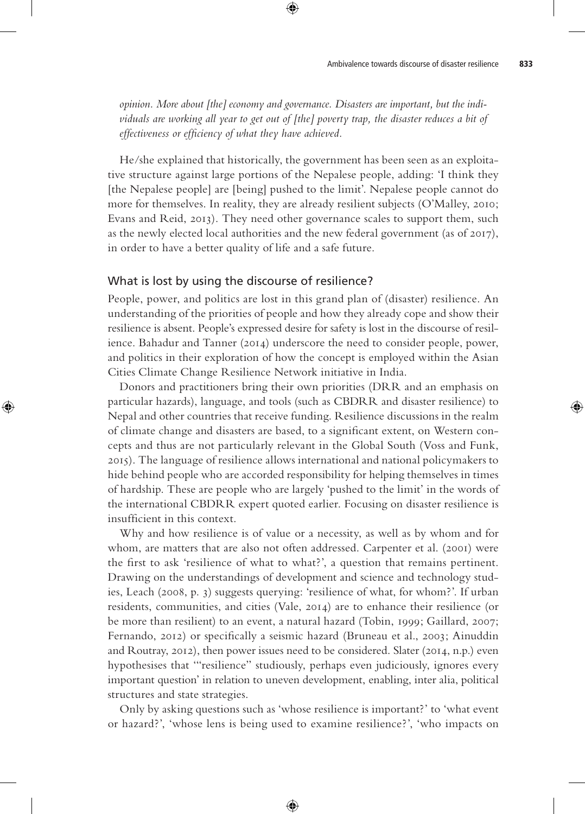*opinion. More about [the] economy and governance. Disasters are important, but the individuals are working all year to get out of [the] poverty trap, the disaster reduces a bit of effectiveness or efficiency of what they have achieved.*

He/she explained that historically, the government has been seen as an exploitative structure against large portions of the Nepalese people, adding: 'I think they [the Nepalese people] are [being] pushed to the limit'. Nepalese people cannot do more for themselves. In reality, they are already resilient subjects (O'Malley, 2010; Evans and Reid, 2013). They need other governance scales to support them, such as the newly elected local authorities and the new federal government (as of 2017), in order to have a better quality of life and a safe future.

### What is lost by using the discourse of resilience?

People, power, and politics are lost in this grand plan of (disaster) resilience. An understanding of the priorities of people and how they already cope and show their resilience is absent. People's expressed desire for safety is lost in the discourse of resilience. Bahadur and Tanner (2014) underscore the need to consider people, power, and politics in their exploration of how the concept is employed within the Asian Cities Climate Change Resilience Network initiative in India.

Donors and practitioners bring their own priorities (DRR and an emphasis on particular hazards), language, and tools (such as CBDRR and disaster resilience) to Nepal and other countries that receive funding. Resilience discussions in the realm of climate change and disasters are based, to a significant extent, on Western concepts and thus are not particularly relevant in the Global South (Voss and Funk, 2015). The language of resilience allows international and national policymakers to hide behind people who are accorded responsibility for helping themselves in times of hardship. These are people who are largely 'pushed to the limit' in the words of the international CBDRR expert quoted earlier. Focusing on disaster resilience is insufficient in this context.

Why and how resilience is of value or a necessity, as well as by whom and for whom, are matters that are also not often addressed. Carpenter et al. (2001) were the first to ask 'resilience of what to what?', a question that remains pertinent. Drawing on the understandings of development and science and technology studies, Leach (2008, p. 3) suggests querying: 'resilience of what, for whom?'. If urban residents, communities, and cities (Vale, 2014) are to enhance their resilience (or be more than resilient) to an event, a natural hazard (Tobin, 1999; Gaillard, 2007; Fernando, 2012) or specifically a seismic hazard (Bruneau et al., 2003; Ainuddin and Routray, 2012), then power issues need to be considered. Slater (2014, n.p.) even hypothesises that '"resilience" studiously, perhaps even judiciously, ignores every important question' in relation to uneven development, enabling, inter alia, political structures and state strategies.

Only by asking questions such as 'whose resilience is important?' to 'what event or hazard?', 'whose lens is being used to examine resilience?', 'who impacts on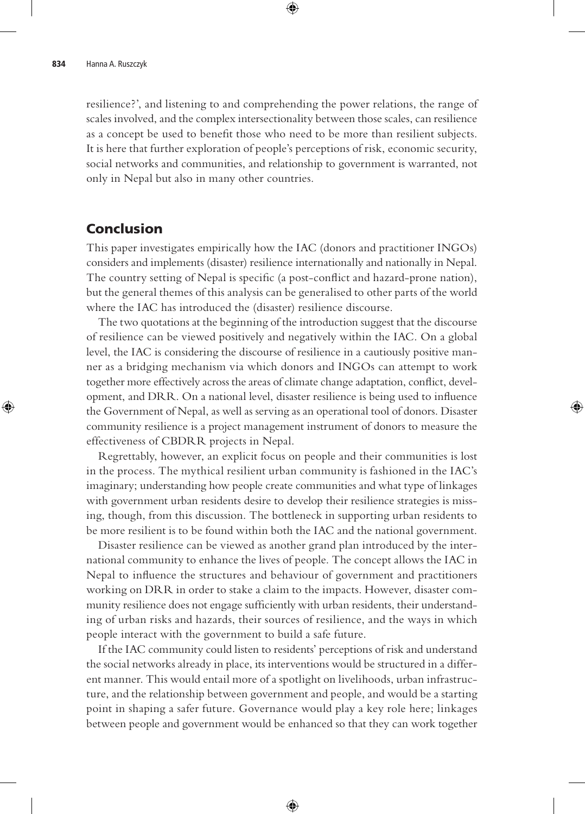resilience?', and listening to and comprehending the power relations, the range of scales involved, and the complex intersectionality between those scales, can resilience as a concept be used to benefit those who need to be more than resilient subjects. It is here that further exploration of people's perceptions of risk, economic security, social networks and communities, and relationship to government is warranted, not only in Nepal but also in many other countries.

## Conclusion

This paper investigates empirically how the IAC (donors and practitioner INGOs) considers and implements (disaster) resilience internationally and nationally in Nepal. The country setting of Nepal is specific (a post-conflict and hazard-prone nation), but the general themes of this analysis can be generalised to other parts of the world where the IAC has introduced the (disaster) resilience discourse.

The two quotations at the beginning of the introduction suggest that the discourse of resilience can be viewed positively and negatively within the IAC. On a global level, the IAC is considering the discourse of resilience in a cautiously positive manner as a bridging mechanism via which donors and INGOs can attempt to work together more effectively across the areas of climate change adaptation, conflict, development, and DRR. On a national level, disaster resilience is being used to influence the Government of Nepal, as well as serving as an operational tool of donors. Disaster community resilience is a project management instrument of donors to measure the effectiveness of CBDRR projects in Nepal.

Regrettably, however, an explicit focus on people and their communities is lost in the process. The mythical resilient urban community is fashioned in the IAC's imaginary; understanding how people create communities and what type of linkages with government urban residents desire to develop their resilience strategies is missing, though, from this discussion. The bottleneck in supporting urban residents to be more resilient is to be found within both the IAC and the national government.

Disaster resilience can be viewed as another grand plan introduced by the international community to enhance the lives of people. The concept allows the IAC in Nepal to influence the structures and behaviour of government and practitioners working on DRR in order to stake a claim to the impacts. However, disaster community resilience does not engage sufficiently with urban residents, their understanding of urban risks and hazards, their sources of resilience, and the ways in which people interact with the government to build a safe future.

If the IAC community could listen to residents' perceptions of risk and understand the social networks already in place, its interventions would be structured in a different manner. This would entail more of a spotlight on livelihoods, urban infrastructure, and the relationship between government and people, and would be a starting point in shaping a safer future. Governance would play a key role here; linkages between people and government would be enhanced so that they can work together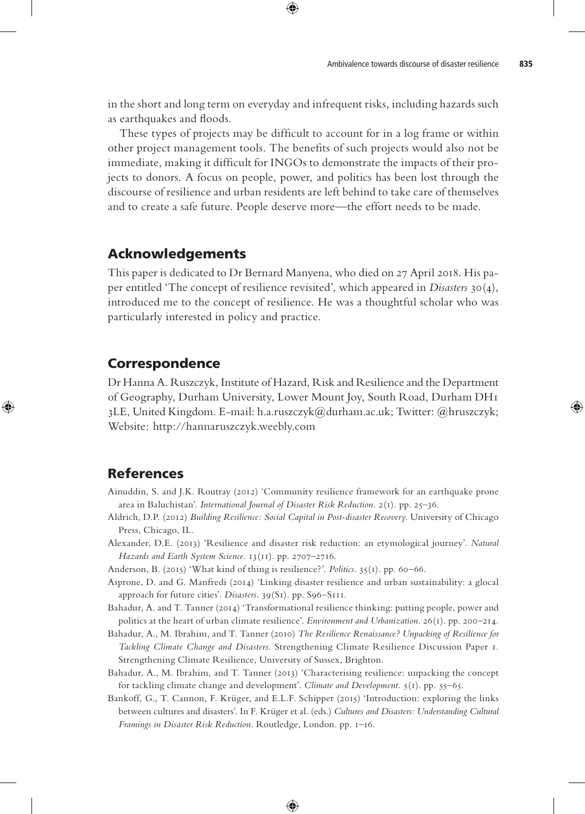in the short and long term on everyday and infrequent risks, including hazards such as earthquakes and floods.

These types of projects may be difficult to account for in a log frame or within other project management tools. The benefits of such projects would also not be immediate, making it difficult for INGOs to demonstrate the impacts of their projects to donors. A focus on people, power, and politics has been lost through the discourse of resilience and urban residents are left behind to take care of themselves and to create a safe future. People deserve more—the effort needs to be made.

# Acknowledgements

This paper is dedicated to Dr Bernard Manyena, who died on 27 April 2018. His paper entitled 'The concept of resilience revisited', which appeared in *Disasters* 30(4), introduced me to the concept of resilience. He was a thoughtful scholar who was particularly interested in policy and practice.

# Correspondence

Dr Hanna A. Ruszczyk, Institute of Hazard, Risk and Resilience and the Department of Geography, Durham University, Lower Mount Joy, South Road, Durham DH1 3LE, United Kingdom. E-mail: h.a.ruszczyk@durham.ac.uk; Twitter: @hruszczyk; Website: http://hannaruszczyk.weebly.com

# References

- Ainuddin, S. and J.K. Routray (2012) 'Community resilience framework for an earthquake prone area in Baluchistan'. *International Journal of Disaster Risk Reduction*. 2(1). pp. 25–36.
- Aldrich, D.P. (2012) *Building Resilience: Social Capital in Post-disaster Recovery*. University of Chicago Press, Chicago, IL.
- Alexander, D.E. (2013) 'Resilience and disaster risk reduction: an etymological journey'. *Natural Hazards and Earth System Science*. 13(11). pp. 2707–2716.
- Anderson, B. (2015) 'What kind of thing is resilience?'. *Politics*. 35(1). pp. 60–66.
- Asprone, D. and G. Manfredi (2014) 'Linking disaster resilience and urban sustainability: a glocal approach for future cities'. *Disasters*. 39(S1). pp. S96–S111.
- Bahadur, A. and T. Tanner (2014) 'Transformational resilience thinking: putting people, power and politics at the heart of urban climate resilience'. *Environment and Urbanization*. 26(1). pp. 200–214.
- Bahadur, A., M. Ibrahim, and T. Tanner (2010) *The Resilience Renaissance? Unpacking of Resilience for Tackling Climate Change and Disasters*. Strengthening Climate Resilience Discussion Paper 1. Strengthening Climate Resilience, University of Sussex, Brighton.
- Bahadur, A., M. Ibrahim, and T. Tanner (2013) 'Characterising resilience: unpacking the concept for tackling climate change and development'. *Climate and Development*. 5(1). pp. 55–65.
- Bankoff, G., T. Cannon, F. Krüger, and E.L.F. Schipper (2015) 'Introduction: exploring the links between cultures and disasters'. In F. Krüger et al. (eds.) *Cultures and Disasters: Understanding Cultural Framings in Disaster Risk Reduction*. Routledge, London. pp. 1–16.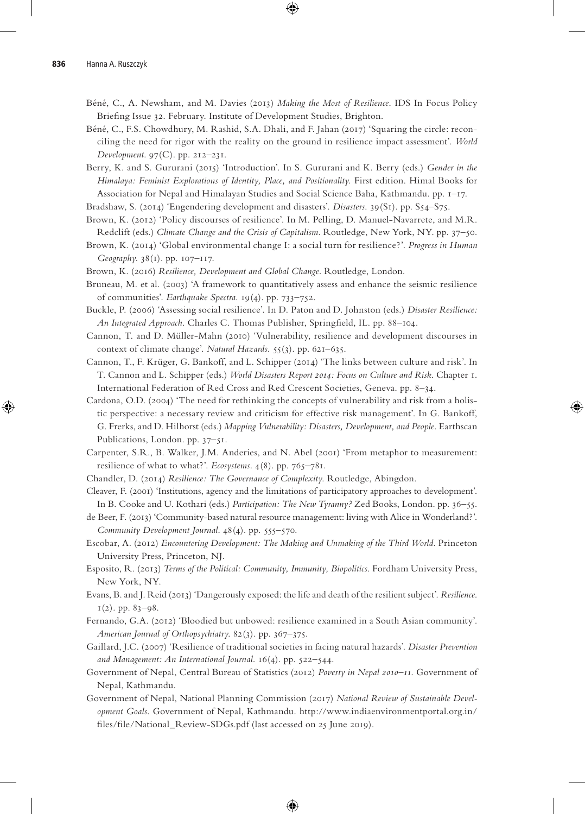- Béné, C., A. Newsham, and M. Davies (2013) *Making the Most of Resilience*. IDS In Focus Policy Briefing Issue 32. February. Institute of Development Studies, Brighton.
- Béné, C., F.S. Chowdhury, M. Rashid, S.A. Dhali, and F. Jahan (2017) 'Squaring the circle: reconciling the need for rigor with the reality on the ground in resilience impact assessment'. *World Development*. 97(C). pp. 212–231.
- Berry, K. and S. Gururani (2015) 'Introduction'. In S. Gururani and K. Berry (eds.) *Gender in the Himalaya: Feminist Explorations of Identity, Place, and Positionality*. First edition. Himal Books for Association for Nepal and Himalayan Studies and Social Science Baha, Kathmandu. pp. 1–17.
- Bradshaw, S. (2014) 'Engendering development and disasters'. *Disasters*. 39(S1). pp. S54–S75.
- Brown, K. (2012) 'Policy discourses of resilience'. In M. Pelling, D. Manuel-Navarrete, and M.R. Redclift (eds.) *Climate Change and the Crisis of Capitalism*. Routledge, New York, NY. pp. 37–50.
- Brown, K. (2014) 'Global environmental change I: a social turn for resilience?'. *Progress in Human Geography*. 38(1). pp. 107–117.
- Brown, K. (2016) *Resilience, Development and Global Change*. Routledge, London.
- Bruneau, M. et al. (2003) 'A framework to quantitatively assess and enhance the seismic resilience of communities'. *Earthquake Spectra*. 19(4). pp. 733–752.
- Buckle, P. (2006) 'Assessing social resilience'. In D. Paton and D. Johnston (eds.) *Disaster Resilience: An Integrated Approach*. Charles C. Thomas Publisher, Springfield, IL. pp. 88–104.
- Cannon, T. and D. Müller-Mahn (2010) 'Vulnerability, resilience and development discourses in context of climate change'. *Natural Hazards*. 55(3). pp. 621–635.
- Cannon, T., F. Krüger, G. Bankoff, and L. Schipper (2014) 'The links between culture and risk'. In T. Cannon and L. Schipper (eds.) *World Disasters Report 2014: Focus on Culture and Risk*. Chapter 1. International Federation of Red Cross and Red Crescent Societies, Geneva. pp. 8–34.
- Cardona, O.D. (2004) 'The need for rethinking the concepts of vulnerability and risk from a holistic perspective: a necessary review and criticism for effective risk management'. In G. Bankoff, G. Frerks, and D. Hilhorst (eds.) *Mapping Vulnerability: Disasters, Development, and People*. Earthscan Publications, London. pp. 37–51.
- Carpenter, S.R., B. Walker, J.M. Anderies, and N. Abel (2001) 'From metaphor to measurement: resilience of what to what?'. *Ecosystems*. 4(8). pp. 765–781.
- Chandler, D. (2014) *Resilience: The Governance of Complexity*. Routledge, Abingdon.
- Cleaver, F. (2001) 'Institutions, agency and the limitations of participatory approaches to development'. In B. Cooke and U. Kothari (eds.) *Participation: The New Tyranny?* Zed Books, London. pp. 36–55.
- de Beer, F. (2013) 'Community-based natural resource management: living with Alice in Wonderland?'. *Community Development Journal*. 48(4). pp. 555–570.
- Escobar, A. (2012) *Encountering Development: The Making and Unmaking of the Third World*. Princeton University Press, Princeton, NJ.
- Esposito, R. (2013) *Terms of the Political: Community, Immunity, Biopolitics*. Fordham University Press, New York, NY.
- Evans, B. and J. Reid (2013) 'Dangerously exposed: the life and death of the resilient subject'. *Resilience*.  $1(2)$ . pp. 83–98.
- Fernando, G.A. (2012) 'Bloodied but unbowed: resilience examined in a South Asian community'. *American Journal of Orthopsychiatry*. 82(3). pp. 367–375.
- Gaillard, J.C. (2007) 'Resilience of traditional societies in facing natural hazards'. *Disaster Prevention and Management: An International Journal*. 16(4). pp. 522–544.
- Government of Nepal, Central Bureau of Statistics (2012) *Poverty in Nepal 2010–11*. Government of Nepal, Kathmandu.
- Government of Nepal, National Planning Commission (2017) *National Review of Sustainable Development Goals*. Government of Nepal, Kathmandu. http://www.indiaenvironmentportal.org.in/ files/file/National\_Review-SDGs.pdf (last accessed on 25 June 2019).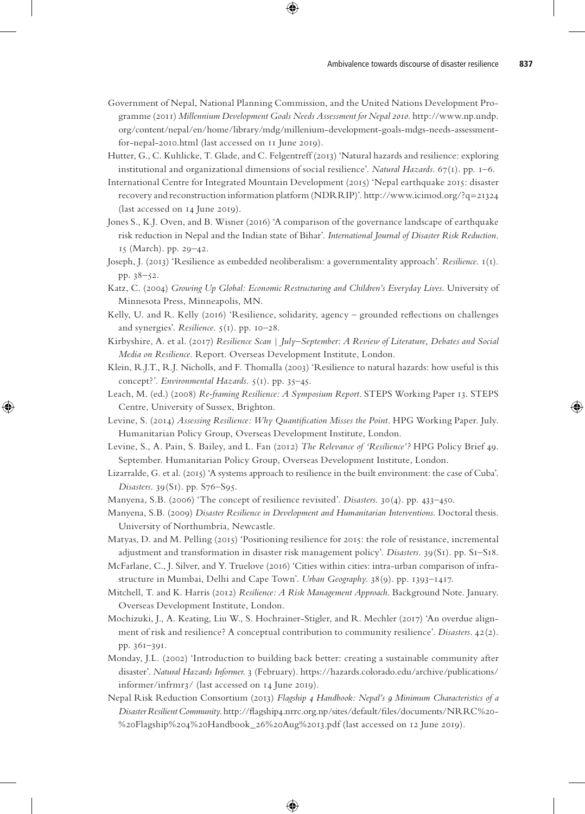- Government of Nepal, National Planning Commission, and the United Nations Development Programme (2011) *Millennium Development Goals Needs Assessment for Nepal 2010*. http://www.np.undp. org/content/nepal/en/home/library/mdg/millenium-development-goals-mdgs-needs-assessmentfor-nepal-2010.html (last accessed on 11 June 2019).
- Hutter, G., C. Kuhlicke, T. Glade, and C. Felgentreff (2013) 'Natural hazards and resilience: exploring institutional and organizational dimensions of social resilience'. *Natural Hazards*. 67(1). pp. 1–6.
- International Centre for Integrated Mountain Development (2015) 'Nepal earthquake 2015: disaster recovery and reconstruction information platform (NDRRIP)'. http://www.icimod.org/?q=21324 (last accessed on 14 June 2019).
- Jones S., K.J. Oven, and B. Wisner (2016) 'A comparison of the governance landscape of earthquake risk reduction in Nepal and the Indian state of Bihar'. *International Journal of Disaster Risk Reduction*. 15 (March). pp. 29–42.
- Joseph, J. (2013) 'Resilience as embedded neoliberalism: a governmentality approach'. *Resilience*. 1(1). pp. 38–52.
- Katz, C. (2004) *Growing Up Global: Economic Restructuring and Children's Everyday Lives*. University of Minnesota Press, Minneapolis, MN.
- Kelly, U. and R. Kelly (2016) 'Resilience, solidarity, agency grounded reflections on challenges and synergies'. *Resilience*. 5(1). pp. 10–28.
- Kirbyshire, A. et al. (2017) *Resilience Scan* | *July–September: A Review of Literature, Debates and Social Media on Resilience*. Report. Overseas Development Institute, London.
- Klein, R.J.T., R.J. Nicholls, and F. Thomalla (2003) 'Resilience to natural hazards: how useful is this concept?'. *Environmental Hazards*. 5(1). pp. 35–45.
- Leach, M. (ed.) (2008) *Re-framing Resilience: A Symposium Report*. STEPS Working Paper 13. STEPS Centre, University of Sussex, Brighton.
- Levine, S. (2014) *Assessing Resilience: Why Quantification Misses the Point*. HPG Working Paper. July. Humanitarian Policy Group, Overseas Development Institute, London.
- Levine, S., A. Pain, S. Bailey, and L. Fan (2012) *The Relevance of 'Resilience'?* HPG Policy Brief 49. September. Humanitarian Policy Group, Overseas Development Institute, London.
- Lizarralde, G. et al. (2015) 'A systems approach to resilience in the built environment: the case of Cuba'. *Disasters*. 39(S1). pp. S76–S95.
- Manyena, S.B. (2006) 'The concept of resilience revisited'. *Disasters*. 30(4). pp. 433–450.
- Manyena, S.B. (2009) *Disaster Resilience in Development and Humanitarian Interventions*. Doctoral thesis. University of Northumbria, Newcastle.
- Matyas, D. and M. Pelling (2015) 'Positioning resilience for 2015: the role of resistance, incremental adjustment and transformation in disaster risk management policy'. *Disasters*. 39(S1). pp. S1–S18.
- McFarlane, C., J. Silver, and Y. Truelove (2016) 'Cities within cities: intra-urban comparison of infrastructure in Mumbai, Delhi and Cape Town'. *Urban Geography*. 38(9). pp. 1393–1417.
- Mitchell, T. and K. Harris (2012) *Resilience: A Risk Management Approach*. Background Note. January. Overseas Development Institute, London.
- Mochizuki, J., A. Keating, Liu W., S. Hochrainer-Stigler, and R. Mechler (2017) 'An overdue alignment of risk and resilience? A conceptual contribution to community resilience'. *Disasters*. 42(2). pp. 361–391.
- Monday, J.L. (2002) 'Introduction to building back better: creating a sustainable community after disaster'. *Natural Hazards Informer*. 3 (February). https://hazards.colorado.edu/archive/publications/ informer/infrmr3/ (last accessed on 14 June 2019).
- Nepal Risk Reduction Consortium (2013) *Flagship 4 Handbook: Nepal's 9 Minimum Characteristics of a Disaster Resilient Community*. http://flagship4.nrrc.org.np/sites/default/files/documents/NRRC%20- %20Flagship%204%20Handbook\_26%20Aug%2013.pdf (last accessed on 12 June 2019).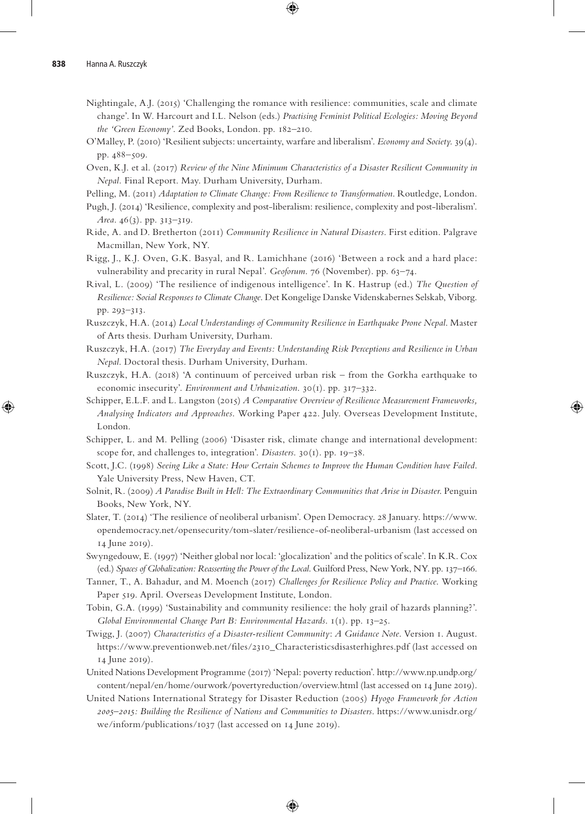- Nightingale, A.J. (2015) 'Challenging the romance with resilience: communities, scale and climate change'. In W. Harcourt and I.L. Nelson (eds.) *Practising Feminist Political Ecologies: Moving Beyond the 'Green Economy'*. Zed Books, London. pp. 182–210.
- O'Malley, P. (2010) 'Resilient subjects: uncertainty, warfare and liberalism'. *Economy and Society*. 39(4). pp. 488–509.
- Oven, K.J. et al. (2017) *Review of the Nine Minimum Characteristics of a Disaster Resilient Community in Nepal.* Final Report. May. Durham University, Durham.
- Pelling, M. (2011) *Adaptation to Climate Change: From Resilience to Transformation*. Routledge, London.
- Pugh, J. (2014) 'Resilience, complexity and post-liberalism: resilience, complexity and post-liberalism'. *Area*. 46(3). pp. 313–319.
- Ride, A. and D. Bretherton (2011) *Community Resilience in Natural Disasters*. First edition. Palgrave Macmillan, New York, NY.
- Rigg, J., K.J. Oven, G.K. Basyal, and R. Lamichhane (2016) 'Between a rock and a hard place: vulnerability and precarity in rural Nepal'. *Geoforum*. 76 (November). pp. 63–74.
- Rival, L. (2009) 'The resilience of indigenous intelligence'. In K. Hastrup (ed.) *The Question of Resilience: Social Responses to Climate Change*. Det Kongelige Danske Videnskabernes Selskab, Viborg. pp. 293–313.
- Ruszczyk, H.A. (2014) *Local Understandings of Community Resilience in Earthquake Prone Nepal*. Master of Arts thesis. Durham University, Durham.
- Ruszczyk, H.A. (2017) *The Everyday and Events: Understanding Risk Perceptions and Resilience in Urban Nepal*. Doctoral thesis. Durham University, Durham.
- Ruszczyk, H.A. (2018) 'A continuum of perceived urban risk from the Gorkha earthquake to economic insecurity'. *Environment and Urbanization*. 30(1). pp. 317–332.
- Schipper, E.L.F. and L. Langston (2015) *A Comparative Overview of Resilience Measurement Frameworks, Analysing Indicators and Approaches*. Working Paper 422. July. Overseas Development Institute, London.
- Schipper, L. and M. Pelling (2006) 'Disaster risk, climate change and international development: scope for, and challenges to, integration'. *Disasters*. 30(1). pp. 19–38.
- Scott, J.C. (1998) *Seeing Like a State: How Certain Schemes to Improve the Human Condition have Failed*. Yale University Press, New Haven, CT.
- Solnit, R. (2009) *A Paradise Built in Hell: The Extraordinary Communities that Arise in Disaster*. Penguin Books, New York, NY.
- Slater, T. (2014) 'The resilience of neoliberal urbanism'. Open Democracy. 28 January. https://www. opendemocracy.net/opensecurity/tom-slater/resilience-of-neoliberal-urbanism (last accessed on 14 June 2019).
- Swyngedouw, E. (1997) 'Neither global nor local: 'glocalization' and the politics of scale'. In K.R. Cox (ed.) *Spaces of Globalization: Reasserting the Power of the Local*. Guilford Press, New York, NY. pp. 137–166.
- Tanner, T., A. Bahadur, and M. Moench (2017) *Challenges for Resilience Policy and Practice*. Working Paper 519. April. Overseas Development Institute, London.
- Tobin, G.A. (1999) 'Sustainability and community resilience: the holy grail of hazards planning?'. *Global Environmental Change Part B: Environmental Hazards*. 1(1). pp. 13–25.
- Twigg, J. (2007) *Characteristics of a Disaster-resilient Community*: *A Guidance Note*. Version 1. August. https://www.preventionweb.net/files/2310\_Characteristicsdisasterhighres.pdf (last accessed on 14 June 2019).
- United Nations Development Programme (2017) 'Nepal: poverty reduction'. http://www.np.undp.org/ content/nepal/en/home/ourwork/povertyreduction/overview.html (last accessed on 14 June 2019).
- United Nations International Strategy for Disaster Reduction (2005) *Hyogo Framework for Action 2005–2015: Building the Resilience of Nations and Communities to Disasters*. https://www.unisdr.org/ we/inform/publications/1037 (last accessed on 14 June 2019).